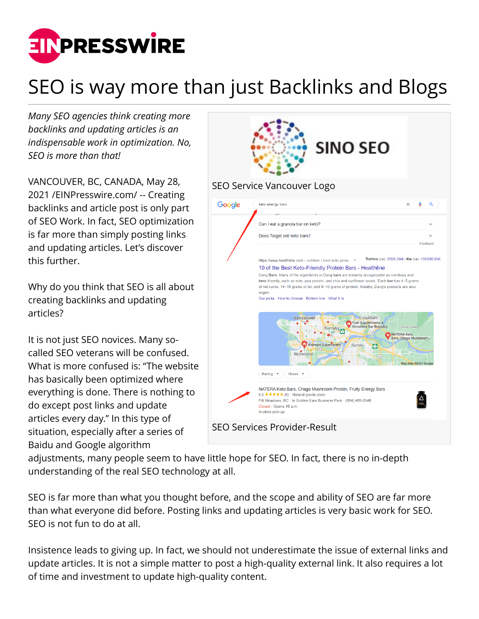

## SEO is way more than just Backlinks and Blogs

*Many SEO agencies think creating more backlinks and updating articles is an indispensable work in optimization. No, SEO is more than that!*

VANCOUVER, BC, CANADA, May 28, 2021 /[EINPresswire.com](http://www.einpresswire.com)/ -- Creating backlinks and article post is only part of SEO Work. In fact, SEO optimization is far more than simply posting links and updating articles. Let's discover this further.

Why do you think that SEO is all about creating backlinks and updating articles?

It is not just SEO novices. Many socalled SEO veterans will be confused. What is more confused is: "The website has basically been optimized where everything is done. There is nothing to do except post links and update articles every day." In this type of situation, especially after a series of Baidu and Google algorithm



adjustments, many people seem to have little hope for SEO. In fact, there is no in-depth understanding of the real SEO technology at all.

SEO is far more than what you thought before, and the scope and ability of SEO are far more than what everyone did before. Posting links and updating articles is very basic work for SEO. SEO is not fun to do at all.

Insistence leads to giving up. In fact, we should not underestimate the issue of external links and update articles. It is not a simple matter to post a high-quality external link. It also requires a lot of time and investment to update high-quality content.